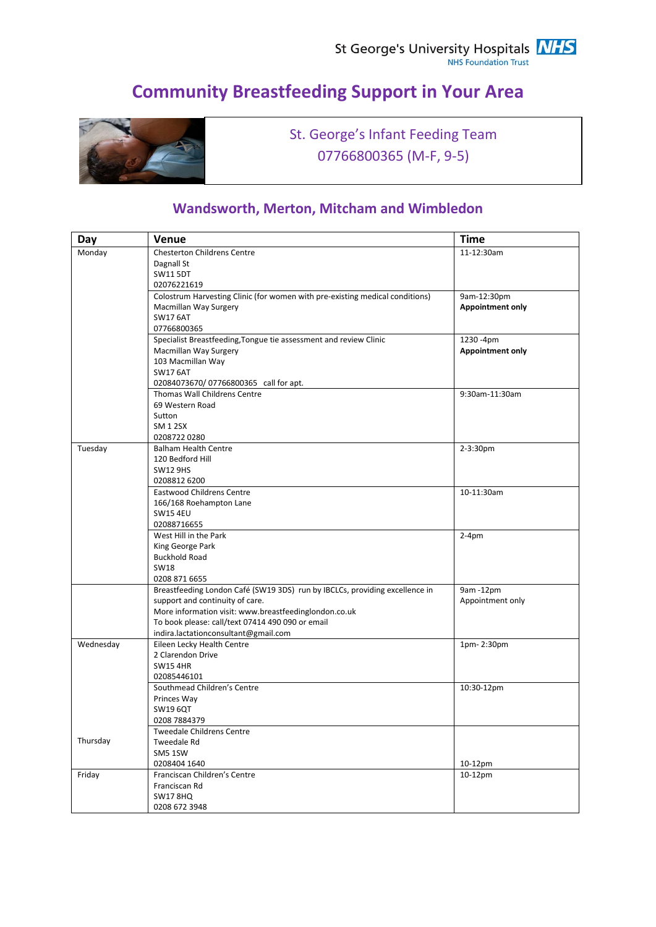# **Community Breastfeeding Support in Your Area**



St. George's Infant Feeding Team 07766800365 (M-F, 9-5)

#### **Wandsworth, Merton, Mitcham and Wimbledon**

| Day       | <b>Venue</b>                                                                 | <b>Time</b>             |
|-----------|------------------------------------------------------------------------------|-------------------------|
| Monday    | <b>Chesterton Childrens Centre</b>                                           | 11-12:30am              |
|           | Dagnall St                                                                   |                         |
|           | <b>SW11 5DT</b>                                                              |                         |
|           | 02076221619                                                                  |                         |
|           | Colostrum Harvesting Clinic (for women with pre-existing medical conditions) | 9am-12:30pm             |
|           | Macmillan Way Surgery                                                        | <b>Appointment only</b> |
|           | <b>SW17 6AT</b>                                                              |                         |
|           | 07766800365                                                                  |                         |
|           | Specialist Breastfeeding, Tongue tie assessment and review Clinic            | 1230 -4pm               |
|           | Macmillan Way Surgery                                                        | <b>Appointment only</b> |
|           | 103 Macmillan Way                                                            |                         |
|           | <b>SW17 6AT</b>                                                              |                         |
|           | 02084073670/07766800365 call for apt.                                        |                         |
|           | Thomas Wall Childrens Centre                                                 | 9:30am-11:30am          |
|           | 69 Western Road                                                              |                         |
|           | Sutton                                                                       |                         |
|           | <b>SM 1 2SX</b>                                                              |                         |
|           | 02087220280                                                                  |                         |
| Tuesday   | <b>Balham Health Centre</b>                                                  | 2-3:30pm                |
|           | 120 Bedford Hill                                                             |                         |
|           | <b>SW12 9HS</b>                                                              |                         |
|           | 0208812 6200                                                                 |                         |
|           | <b>Eastwood Childrens Centre</b>                                             | 10-11:30am              |
|           | 166/168 Roehampton Lane                                                      |                         |
|           | <b>SW15 4EU</b>                                                              |                         |
|           | 02088716655                                                                  |                         |
|           | West Hill in the Park                                                        | $2-4pm$                 |
|           | King George Park                                                             |                         |
|           | <b>Buckhold Road</b>                                                         |                         |
|           | <b>SW18</b>                                                                  |                         |
|           | 0208 871 6655                                                                |                         |
|           | Breastfeeding London Café (SW19 3DS) run by IBCLCs, providing excellence in  | 9am -12pm               |
|           | support and continuity of care.                                              | Appointment only        |
|           | More information visit: www.breastfeedinglondon.co.uk                        |                         |
|           | To book please: call/text 07414 490 090 or email                             |                         |
|           | indira.lactationconsultant@gmail.com                                         |                         |
| Wednesday | Eileen Lecky Health Centre                                                   | 1pm-2:30pm              |
|           | 2 Clarendon Drive                                                            |                         |
|           | <b>SW154HR</b>                                                               |                         |
|           | 02085446101                                                                  |                         |
|           | Southmead Children's Centre                                                  | 10:30-12pm              |
|           | Princes Way                                                                  |                         |
|           | <b>SW19 6QT</b>                                                              |                         |
|           | 0208 7884379                                                                 |                         |
|           | <b>Tweedale Childrens Centre</b>                                             |                         |
| Thursday  | Tweedale Rd                                                                  |                         |
|           | SM5 1SW                                                                      |                         |
|           | 0208404 1640                                                                 | 10-12pm                 |
| Friday    | Franciscan Children's Centre                                                 | 10-12pm                 |
|           | Franciscan Rd                                                                |                         |
|           | <b>SW17 8HQ</b>                                                              |                         |
|           | 0208 672 3948                                                                |                         |